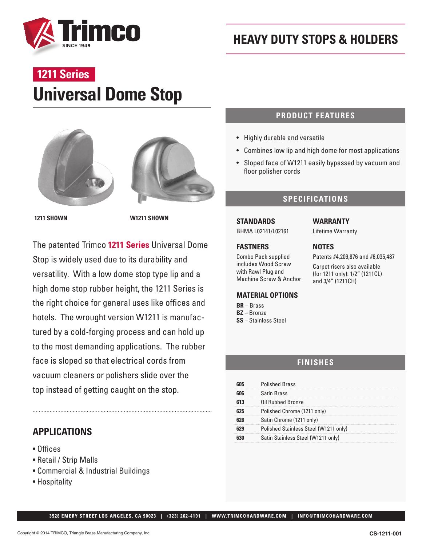

# **Universal Dome Stop 1211 Series**





**1211 SHOWN W1211 SHOWN**

The patented Trimco **1211 Series** Universal Dome Stop is widely used due to its durability and versatility. With a low dome stop type lip and a high dome stop rubber height, the 1211 Series is the right choice for general uses like offices and hotels. The wrought version W1211 is manufactured by a cold-forging process and can hold up to the most demanding applications. The rubber face is sloped so that electrical cords from vacuum cleaners or polishers slide over the top instead of getting caught on the stop.

### **APPLICATIONS**

- Offices
- Retail / Strip Malls
- Commercial & Industrial Buildings
- Hospitality

#### **PRODUCT FEATURES**

- Highly durable and versatile
- Combines low lip and high dome for most applications
- Sloped face of W1211 easily bypassed by vacuum and floor polisher cords

#### **SPECIFICATIONS**

#### **STANDARDS**

BHMA L02141/L02161

#### **FASTNERS**

Combo Pack supplied includes Wood Screw with Rawl Plug and Machine Screw & Anchor

#### **MATERIAL OPTIONS**

**BR** – Brass **BZ** – Bronze **SS** – Stainless Steel

#### **WARRANTY**

Lifetime Warranty

#### **NOTES**

Patents #4,209,876 and #6,035,487

Carpet risers also available (for 1211 only): 1/2" (1211CL) and 3/4" (1211CH)

#### **FINISHES**

| <b>Polished Brass</b>                 |
|---------------------------------------|
| Satin Brass                           |
| Oil Rubbed Bronze                     |
| Polished Chrome (1211 only)           |
| Satin Chrome (1211 only)              |
| Polished Stainless Steel (W1211 only) |
| Satin Stainless Steel (W1211 only)    |